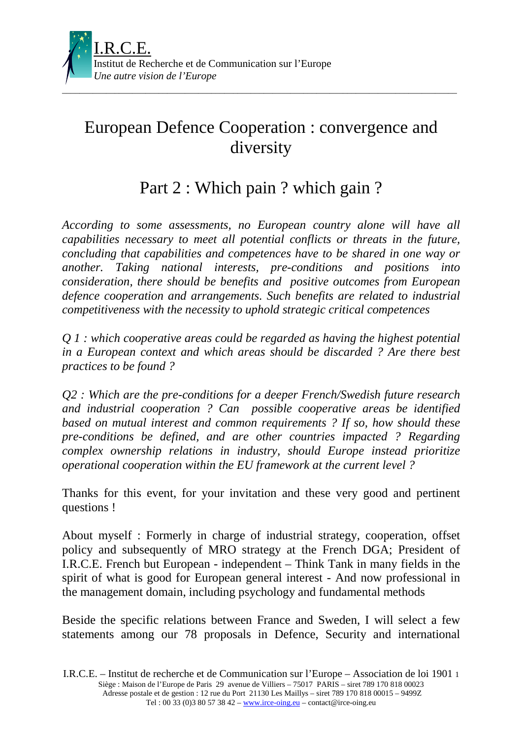

## European Defence Cooperation : convergence and diversity

## Part 2 : Which pain ? which gain ?

*According to some assessments, no European country alone will have all capabilities necessary to meet all potential conflicts or threats in the future, concluding that capabilities and competences have to be shared in one way or another. Taking national interests, pre-conditions and positions into consideration, there should be benefits and positive outcomes from European defence cooperation and arrangements. Such benefits are related to industrial competitiveness with the necessity to uphold strategic critical competences* 

*Q 1 : which cooperative areas could be regarded as having the highest potential in a European context and which areas should be discarded ? Are there best practices to be found ?* 

*Q2 : Which are the pre-conditions for a deeper French/Swedish future research and industrial cooperation ? Can possible cooperative areas be identified based on mutual interest and common requirements ? If so, how should these pre-conditions be defined, and are other countries impacted ? Regarding complex ownership relations in industry, should Europe instead prioritize operational cooperation within the EU framework at the current level ?* 

Thanks for this event, for your invitation and these very good and pertinent questions !

About myself : Formerly in charge of industrial strategy, cooperation, offset policy and subsequently of MRO strategy at the French DGA; President of I.R.C.E. French but European - independent – Think Tank in many fields in the spirit of what is good for European general interest - And now professional in the management domain, including psychology and fundamental methods

Beside the specific relations between France and Sweden, I will select a few statements among our 78 proposals in Defence, Security and international

I.R.C.E. – Institut de recherche et de Communication sur l'Europe – Association de loi 1901 1 Siège : Maison de l'Europe de Paris 29 avenue de Villiers – 75017 PARIS – siret 789 170 818 00023 Adresse postale et de gestion : 12 rue du Port 21130 Les Maillys – siret 789 170 818 00015 – 9499Z Tel : 00 33 (0) 3 80 57 38 42 – www.irce-oing.eu – contact@irce-oing.eu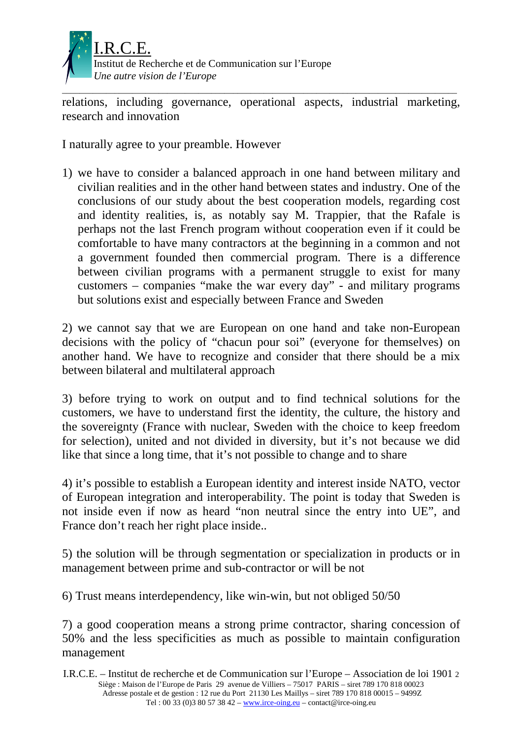

relations, including governance, operational aspects, industrial marketing, research and innovation

\_\_\_\_\_\_\_\_\_\_\_\_\_\_\_\_\_\_\_\_\_\_\_\_\_\_\_\_\_\_\_\_\_\_\_\_\_\_\_\_\_\_\_\_\_\_\_\_\_\_\_\_\_\_\_\_\_\_\_\_\_\_\_\_\_\_\_\_\_\_\_\_\_\_\_\_\_\_\_\_\_\_\_\_\_\_\_\_\_\_

I naturally agree to your preamble. However

1) we have to consider a balanced approach in one hand between military and civilian realities and in the other hand between states and industry. One of the conclusions of our study about the best cooperation models, regarding cost and identity realities, is, as notably say M. Trappier, that the Rafale is perhaps not the last French program without cooperation even if it could be comfortable to have many contractors at the beginning in a common and not a government founded then commercial program. There is a difference between civilian programs with a permanent struggle to exist for many customers – companies "make the war every day" - and military programs but solutions exist and especially between France and Sweden

2) we cannot say that we are European on one hand and take non-European decisions with the policy of "chacun pour soi" (everyone for themselves) on another hand. We have to recognize and consider that there should be a mix between bilateral and multilateral approach

3) before trying to work on output and to find technical solutions for the customers, we have to understand first the identity, the culture, the history and the sovereignty (France with nuclear, Sweden with the choice to keep freedom for selection), united and not divided in diversity, but it's not because we did like that since a long time, that it's not possible to change and to share

4) it's possible to establish a European identity and interest inside NATO, vector of European integration and interoperability. The point is today that Sweden is not inside even if now as heard "non neutral since the entry into UE", and France don't reach her right place inside..

5) the solution will be through segmentation or specialization in products or in management between prime and sub-contractor or will be not

6) Trust means interdependency, like win-win, but not obliged 50/50

7) a good cooperation means a strong prime contractor, sharing concession of 50% and the less specificities as much as possible to maintain configuration management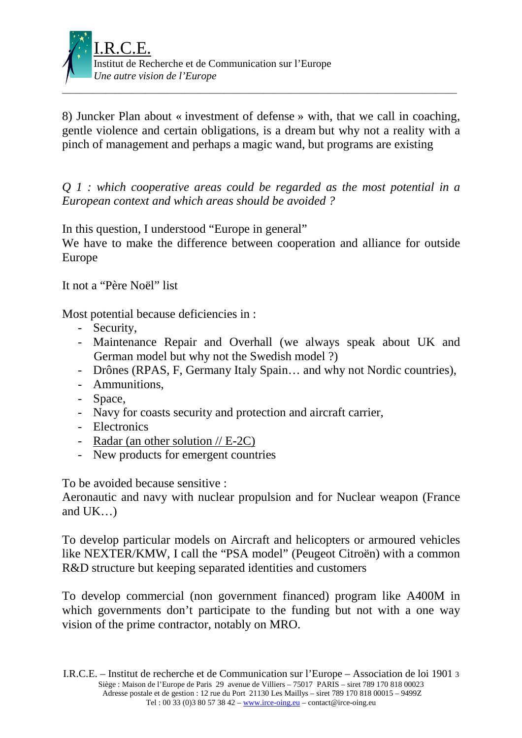

8) Juncker Plan about « investment of defense » with, that we call in coaching, gentle violence and certain obligations, is a dream but why not a reality with a pinch of management and perhaps a magic wand, but programs are existing

*Q 1 : which cooperative areas could be regarded as the most potential in a European context and which areas should be avoided ?* 

In this question, I understood "Europe in general"

We have to make the difference between cooperation and alliance for outside Europe

It not a "Père Noël" list

Most potential because deficiencies in :

- Security,
- Maintenance Repair and Overhall (we always speak about UK and German model but why not the Swedish model ?)
- Drônes (RPAS, F, Germany Italy Spain… and why not Nordic countries),
- Ammunitions,
- Space,
- Navy for coasts security and protection and aircraft carrier,
- Electronics
- Radar (an other solution // E-2C)
- New products for emergent countries

To be avoided because sensitive :

Aeronautic and navy with nuclear propulsion and for Nuclear weapon (France and  $UK...$ )

To develop particular models on Aircraft and helicopters or armoured vehicles like NEXTER/KMW, I call the "PSA model" (Peugeot Citroën) with a common R&D structure but keeping separated identities and customers

To develop commercial (non government financed) program like A400M in which governments don't participate to the funding but not with a one way vision of the prime contractor, notably on MRO.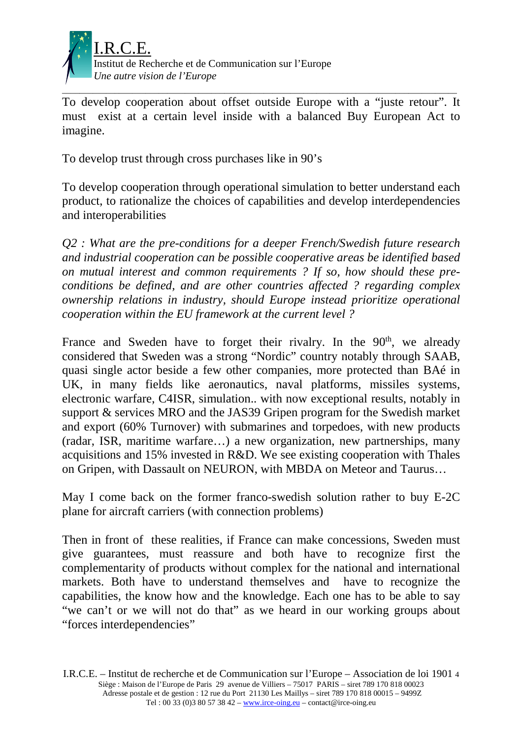

To develop cooperation about offset outside Europe with a "juste retour". It must exist at a certain level inside with a balanced Buy European Act to imagine.

To develop trust through cross purchases like in 90's

To develop cooperation through operational simulation to better understand each product, to rationalize the choices of capabilities and develop interdependencies and interoperabilities

*Q2 : What are the pre-conditions for a deeper French/Swedish future research and industrial cooperation can be possible cooperative areas be identified based on mutual interest and common requirements ? If so, how should these preconditions be defined, and are other countries affected ? regarding complex ownership relations in industry, should Europe instead prioritize operational cooperation within the EU framework at the current level ?* 

France and Sweden have to forget their rivalry. In the  $90<sup>th</sup>$ , we already considered that Sweden was a strong "Nordic" country notably through SAAB, quasi single actor beside a few other companies, more protected than BAé in UK, in many fields like aeronautics, naval platforms, missiles systems, electronic warfare, C4ISR, simulation.. with now exceptional results, notably in support & services MRO and the JAS39 Gripen program for the Swedish market and export (60% Turnover) with submarines and torpedoes, with new products (radar, ISR, maritime warfare…) a new organization, new partnerships, many acquisitions and 15% invested in R&D. We see existing cooperation with Thales on Gripen, with Dassault on NEURON, with MBDA on Meteor and Taurus…

May I come back on the former franco-swedish solution rather to buy E-2C plane for aircraft carriers (with connection problems)

Then in front of these realities, if France can make concessions, Sweden must give guarantees, must reassure and both have to recognize first the complementarity of products without complex for the national and international markets. Both have to understand themselves and have to recognize the capabilities, the know how and the knowledge. Each one has to be able to say "we can't or we will not do that" as we heard in our working groups about "forces interdependencies"

I.R.C.E. – Institut de recherche et de Communication sur l'Europe – Association de loi 1901 4 Siège : Maison de l'Europe de Paris 29 avenue de Villiers – 75017 PARIS – siret 789 170 818 00023 Adresse postale et de gestion : 12 rue du Port 21130 Les Maillys – siret 789 170 818 00015 – 9499Z Tel : 00 33 (0) 3 80 57 38 42 – www.irce-oing.eu – contact@irce-oing.eu